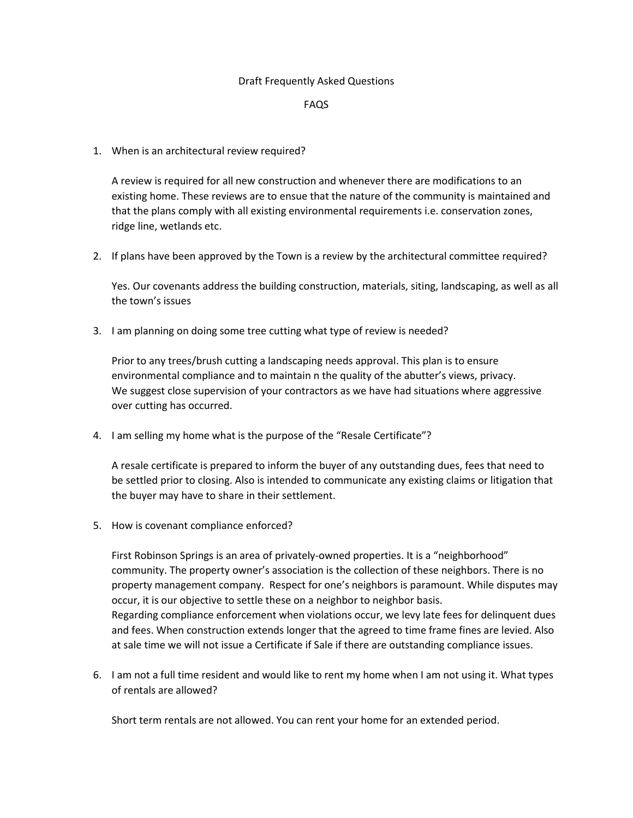## Draft Frequently Asked Questions

## FAQS

1. When is an architectural review required?

A review is required for all new construction and whenever there are modifications to an existing home. These reviews are to ensue that the nature of the community is maintained and that the plans comply with all existing environmental requirements i.e. conservation zones, ridge line, wetlands etc.

2. If plans have been approved by the Town is a review by the architectural committee required?

Yes. Our covenants address the building construction, materials, siting, landscaping, as well as all the town's issues

3. I am planning on doing some tree cutting what type of review is needed?

Prior to any trees/brush cutting a landscaping needs approval. This plan is to ensure environmental compliance and to maintain n the quality of the abutter's views, privacy. We suggest close supervision of your contractors as we have had situations where aggressive over cutting has occurred.

4. I am selling my home what is the purpose of the "Resale Certificate"?

A resale certificate is prepared to inform the buyer of any outstanding dues, fees that need to be settled prior to closing. Also is intended to communicate any existing claims or litigation that the buyer may have to share in their settlement.

5. How is covenant compliance enforced?

First Robinson Springs is an area of privately-owned properties. It is a "neighborhood" community. The property owner's association is the collection of these neighbors. There is no property management company. Respect for one's neighbors is paramount. While disputes may occur, it is our objective to settle these on a neighbor to neighbor basis. Regarding compliance enforcement when violations occur, we levy late fees for delinquent dues and fees. When construction extends longer that the agreed to time frame fines are levied. Also at sale time we will not issue a Certificate if Sale if there are outstanding compliance issues.

6. I am not a full time resident and would like to rent my home when I am not using it. What types of rentals are allowed?

Short term rentals are not allowed. You can rent your home for an extended period.